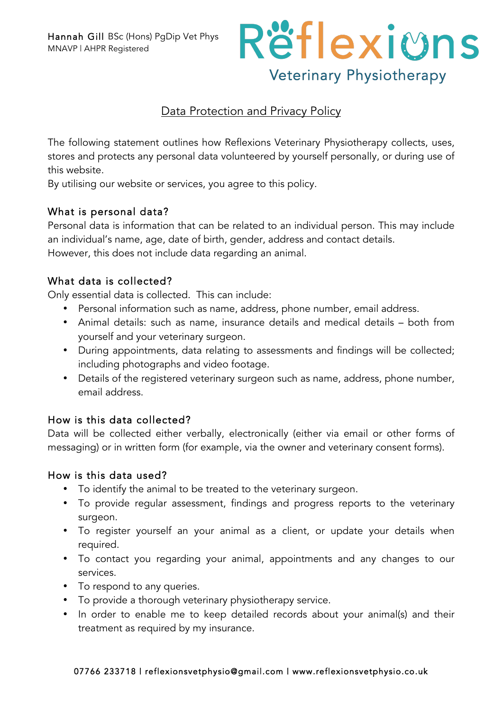

## Data Protection and Privacy Policy

The following statement outlines how Reflexions Veterinary Physiotherapy collects, uses, stores and protects any personal data volunteered by yourself personally, or during use of this website.

By utilising our website or services, you agree to this policy.

## What is personal data?

Personal data is information that can be related to an individual person. This may include an individual's name, age, date of birth, gender, address and contact details. However, this does not include data regarding an animal.

## What data is collected?

Only essential data is collected. This can include:

- Personal information such as name, address, phone number, email address.
- Animal details: such as name, insurance details and medical details both from yourself and your veterinary surgeon.
- During appointments, data relating to assessments and findings will be collected; including photographs and video footage.
- Details of the registered veterinary surgeon such as name, address, phone number, email address.

## How is this data collected?

Data will be collected either verbally, electronically (either via email or other forms of messaging) or in written form (for example, via the owner and veterinary consent forms).

## How is this data used?

- To identify the animal to be treated to the veterinary surgeon.
- To provide regular assessment, findings and progress reports to the veterinary surgeon.
- To register yourself an your animal as a client, or update your details when required.
- To contact you regarding your animal, appointments and any changes to our services.
- To respond to any queries.
- To provide a thorough veterinary physiotherapy service.
- In order to enable me to keep detailed records about your animal(s) and their treatment as required by my insurance.